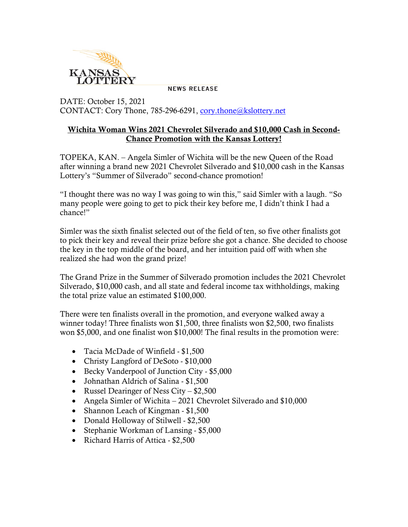

**NEWS RELEASE** 

DATE: October 15, 2021 CONTACT: Cory Thone, 785-296-6291, [cory.thone@kslottery.net](mailto:cory.thone@kslottery.net)

## Wichita Woman Wins 2021 Chevrolet Silverado and \$10,000 Cash in Second-Chance Promotion with the Kansas Lottery!

TOPEKA, KAN. – Angela Simler of Wichita will be the new Queen of the Road after winning a brand new 2021 Chevrolet Silverado and \$10,000 cash in the Kansas Lottery's "Summer of Silverado" second-chance promotion!

"I thought there was no way I was going to win this," said Simler with a laugh. "So many people were going to get to pick their key before me, I didn't think I had a chance!"

Simler was the sixth finalist selected out of the field of ten, so five other finalists got to pick their key and reveal their prize before she got a chance. She decided to choose the key in the top middle of the board, and her intuition paid off with when she realized she had won the grand prize!

The Grand Prize in the Summer of Silverado promotion includes the 2021 Chevrolet Silverado, \$10,000 cash, and all state and federal income tax withholdings, making the total prize value an estimated \$100,000.

There were ten finalists overall in the promotion, and everyone walked away a winner today! Three finalists won \$1,500, three finalists won \$2,500, two finalists won \$5,000, and one finalist won \$10,000! The final results in the promotion were:

- Tacia McDade of Winfield \$1,500
- Christy Langford of DeSoto \$10,000
- Becky Vanderpool of Junction City \$5,000
- Johnathan Aldrich of Salina \$1,500
- Russel Dearinger of Ness City \$2,500
- Angela Simler of Wichita 2021 Chevrolet Silverado and \$10,000
- Shannon Leach of Kingman \$1,500
- Donald Holloway of Stilwell \$2,500
- Stephanie Workman of Lansing \$5,000
- Richard Harris of Attica \$2,500